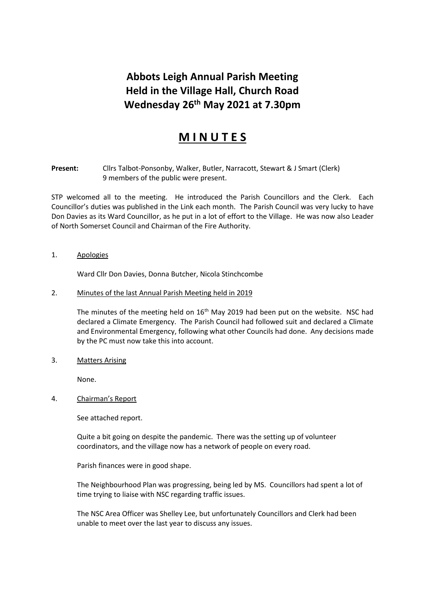## **Abbots Leigh Annual Parish Meeting Held in the Village Hall, Church Road Wednesday 26 th May 2021 at 7.30pm**

## **M I N U T E S**

**Present:** Cllrs Talbot-Ponsonby, Walker, Butler, Narracott, Stewart & J Smart (Clerk) 9 members of the public were present.

STP welcomed all to the meeting. He introduced the Parish Councillors and the Clerk. Each Councillor's duties was published in the Link each month. The Parish Council was very lucky to have Don Davies as its Ward Councillor, as he put in a lot of effort to the Village. He was now also Leader of North Somerset Council and Chairman of the Fire Authority.

1. Apologies

Ward Cllr Don Davies, Donna Butcher, Nicola Stinchcombe

2. Minutes of the last Annual Parish Meeting held in 2019

The minutes of the meeting held on  $16<sup>th</sup>$  May 2019 had been put on the website. NSC had declared a Climate Emergency. The Parish Council had followed suit and declared a Climate and Environmental Emergency, following what other Councils had done. Any decisions made by the PC must now take this into account.

3. Matters Arising

None.

4. Chairman's Report

See attached report.

Quite a bit going on despite the pandemic. There was the setting up of volunteer coordinators, and the village now has a network of people on every road.

Parish finances were in good shape.

The Neighbourhood Plan was progressing, being led by MS. Councillors had spent a lot of time trying to liaise with NSC regarding traffic issues.

The NSC Area Officer was Shelley Lee, but unfortunately Councillors and Clerk had been unable to meet over the last year to discuss any issues.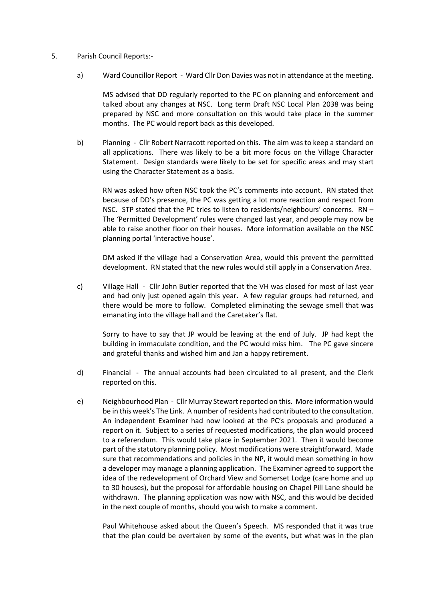## 5. Parish Council Reports:-

a) Ward Councillor Report - Ward Cllr Don Davies was not in attendance at the meeting.

MS advised that DD regularly reported to the PC on planning and enforcement and talked about any changes at NSC. Long term Draft NSC Local Plan 2038 was being prepared by NSC and more consultation on this would take place in the summer months. The PC would report back as this developed.

b) Planning - Cllr Robert Narracott reported on this. The aim was to keep a standard on all applications. There was likely to be a bit more focus on the Village Character Statement. Design standards were likely to be set for specific areas and may start using the Character Statement as a basis.

RN was asked how often NSC took the PC's comments into account. RN stated that because of DD's presence, the PC was getting a lot more reaction and respect from NSC. STP stated that the PC tries to listen to residents/neighbours' concerns. RN – The 'Permitted Development' rules were changed last year, and people may now be able to raise another floor on their houses. More information available on the NSC planning portal 'interactive house'.

DM asked if the village had a Conservation Area, would this prevent the permitted development. RN stated that the new rules would still apply in a Conservation Area.

c) Village Hall - Cllr John Butler reported that the VH was closed for most of last year and had only just opened again this year. A few regular groups had returned, and there would be more to follow. Completed eliminating the sewage smell that was emanating into the village hall and the Caretaker's flat.

Sorry to have to say that JP would be leaving at the end of July. JP had kept the building in immaculate condition, and the PC would miss him. The PC gave sincere and grateful thanks and wished him and Jan a happy retirement.

- d) Financial The annual accounts had been circulated to all present, and the Clerk reported on this.
- e) Neighbourhood Plan Cllr Murray Stewart reported on this. More information would be in this week's The Link. A number of residents had contributed to the consultation. An independent Examiner had now looked at the PC's proposals and produced a report on it. Subject to a series of requested modifications, the plan would proceed to a referendum. This would take place in September 2021. Then it would become part of the statutory planning policy. Most modifications were straightforward. Made sure that recommendations and policies in the NP, it would mean something in how a developer may manage a planning application. The Examiner agreed to support the idea of the redevelopment of Orchard View and Somerset Lodge (care home and up to 30 houses), but the proposal for affordable housing on Chapel Pill Lane should be withdrawn. The planning application was now with NSC, and this would be decided in the next couple of months, should you wish to make a comment.

Paul Whitehouse asked about the Queen's Speech. MS responded that it was true that the plan could be overtaken by some of the events, but what was in the plan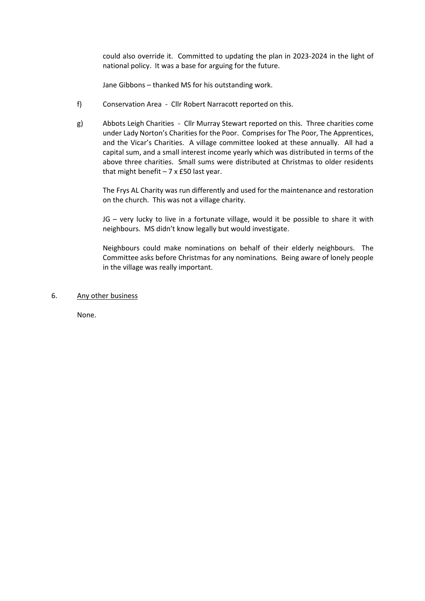could also override it. Committed to updating the plan in 2023-2024 in the light of national policy. It was a base for arguing for the future.

Jane Gibbons – thanked MS for his outstanding work.

- f) Conservation Area Cllr Robert Narracott reported on this.
- g) Abbots Leigh Charities Cllr Murray Stewart reported on this. Three charities come under Lady Norton's Charities for the Poor. Comprises for The Poor, The Apprentices, and the Vicar's Charities. A village committee looked at these annually. All had a capital sum, and a small interest income yearly which was distributed in terms of the above three charities. Small sums were distributed at Christmas to older residents that might benefit  $-7 \times £50$  last year.

The Frys AL Charity was run differently and used for the maintenance and restoration on the church. This was not a village charity.

JG – very lucky to live in a fortunate village, would it be possible to share it with neighbours. MS didn't know legally but would investigate.

Neighbours could make nominations on behalf of their elderly neighbours. The Committee asks before Christmas for any nominations. Being aware of lonely people in the village was really important.

6. Any other business

None.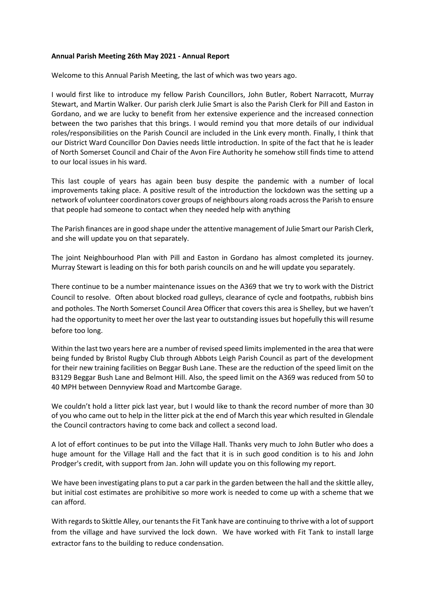## **Annual Parish Meeting 26th May 2021 - Annual Report**

Welcome to this Annual Parish Meeting, the last of which was two years ago.

I would first like to introduce my fellow Parish Councillors, John Butler, Robert Narracott, Murray Stewart, and Martin Walker. Our parish clerk Julie Smart is also the Parish Clerk for Pill and Easton in Gordano, and we are lucky to benefit from her extensive experience and the increased connection between the two parishes that this brings. I would remind you that more details of our individual roles/responsibilities on the Parish Council are included in the Link every month. Finally, I think that our District Ward Councillor Don Davies needs little introduction. In spite of the fact that he is leader of North Somerset Council and Chair of the Avon Fire Authority he somehow still finds time to attend to our local issues in his ward.

This last couple of years has again been busy despite the pandemic with a number of local improvements taking place. A positive result of the introduction the lockdown was the setting up a network of volunteer coordinators cover groups of neighbours along roads across the Parish to ensure that people had someone to contact when they needed help with anything

The Parish finances are in good shape under the attentive management of Julie Smart our Parish Clerk, and she will update you on that separately.

The joint Neighbourhood Plan with Pill and Easton in Gordano has almost completed its journey. Murray Stewart is leading on this for both parish councils on and he will update you separately.

There continue to be a number maintenance issues on the A369 that we try to work with the District Council to resolve. Often about blocked road gulleys, clearance of cycle and footpaths, rubbish bins and potholes. The North Somerset Council Area Officer that covers this area is Shelley, but we haven't had the opportunity to meet her over the last year to outstanding issues but hopefully this will resume before too long.

Within the last two years here are a number of revised speed limits implemented in the area that were being funded by Bristol Rugby Club through Abbots Leigh Parish Council as part of the development for their new training facilities on Beggar Bush Lane. These are the reduction of the speed limit on the B3129 Beggar Bush Lane and Belmont Hill. Also, the speed limit on the A369 was reduced from 50 to 40 MPH between Dennyview Road and Martcombe Garage.

We couldn't hold a litter pick last year, but I would like to thank the record number of more than 30 of you who came out to help in the litter pick at the end of March this year which resulted in Glendale the Council contractors having to come back and collect a second load.

A lot of effort continues to be put into the Village Hall. Thanks very much to John Butler who does a huge amount for the Village Hall and the fact that it is in such good condition is to his and John Prodger's credit, with support from Jan. John will update you on this following my report.

We have been investigating plans to put a car park in the garden between the hall and the skittle alley, but initial cost estimates are prohibitive so more work is needed to come up with a scheme that we can afford.

With regards to Skittle Alley, our tenants the Fit Tank have are continuing to thrive with a lot ofsupport from the village and have survived the lock down. We have worked with Fit Tank to install large extractor fans to the building to reduce condensation.